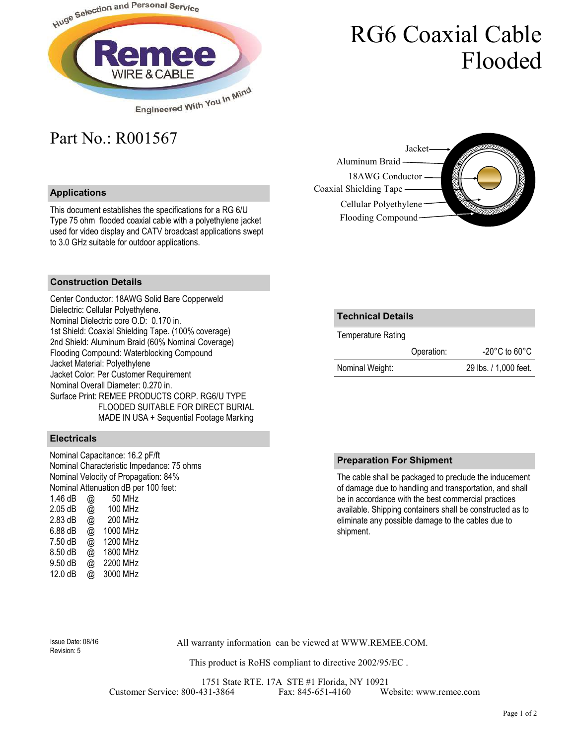

# RG6 Coaxial Cable Flooded

# Part No.: R001567

## **Applications**

This document establishes the specifications for a RG 6/U Type 75 ohm flooded coaxial cable with a polyethylene jacket used for video display and CATV broadcast applications swept to 3.0 GHz suitable for outdoor applications.



### **Construction Details**

Center Conductor: 18AWG Solid Bare Copperweld Dielectric: Cellular Polyethylene. Nominal Dielectric core O.D: 0.170 in. 1st Shield: Coaxial Shielding Tape. (100% coverage) 2nd Shield: Aluminum Braid (60% Nominal Coverage) Flooding Compound: Waterblocking Compound Jacket Material: Polyethylene Jacket Color: Per Customer Requirement Nominal Overall Diameter: 0.270 in. Surface Print: REMEE PRODUCTS CORP. RG6/U TYPE FLOODED SUITABLE FOR DIRECT BURIAL MADE IN USA + Sequential Footage Marking

#### **Electricals**

Nominal Capacitance: 16.2 pF/ft Nominal Characteristic Impedance: 75 ohms Nominal Velocity of Propagation: 84% Nominal Attenuation dB per 100 feet:<br>1.46 dB  $\qquad \qquad \varpi$  50 MHz 1.46 dB  $@$ <br>2.05 dB  $@$ @ 100 MHz 2.83 dB @ 200 MHz 6.88 dB @ 1000 MHz 7.50 dB @ 1200 MHz 8.50 dB @ 1800 MHz 9.50 dB @ 2200 MHz 12.0 dB @ 3000 MHz

| Technical Details  |  |
|--------------------|--|
| Temperature Rating |  |

|                 | Operation: | $-20^{\circ}$ C to 60 $^{\circ}$ C |
|-----------------|------------|------------------------------------|
| Nominal Weight: |            | 29 lbs. / 1,000 feet.              |

### **Preparation For Shipment**

The cable shall be packaged to preclude the inducement of damage due to handling and transportation, and shall be in accordance with the best commercial practices available. Shipping containers shall be constructed as to eliminate any possible damage to the cables due to shipment.

Revision: 5

All warranty information can be viewed at WWW.REMEE.COM. Issue Date: 08/16

This product is RoHS compliant to directive 2002/95/EC .

1751 State RTE. 17A STE #1 Florida, NY 10921 Customer Service: 800-431-3864 Fax: 845-651-4160 Website: www.remee.com